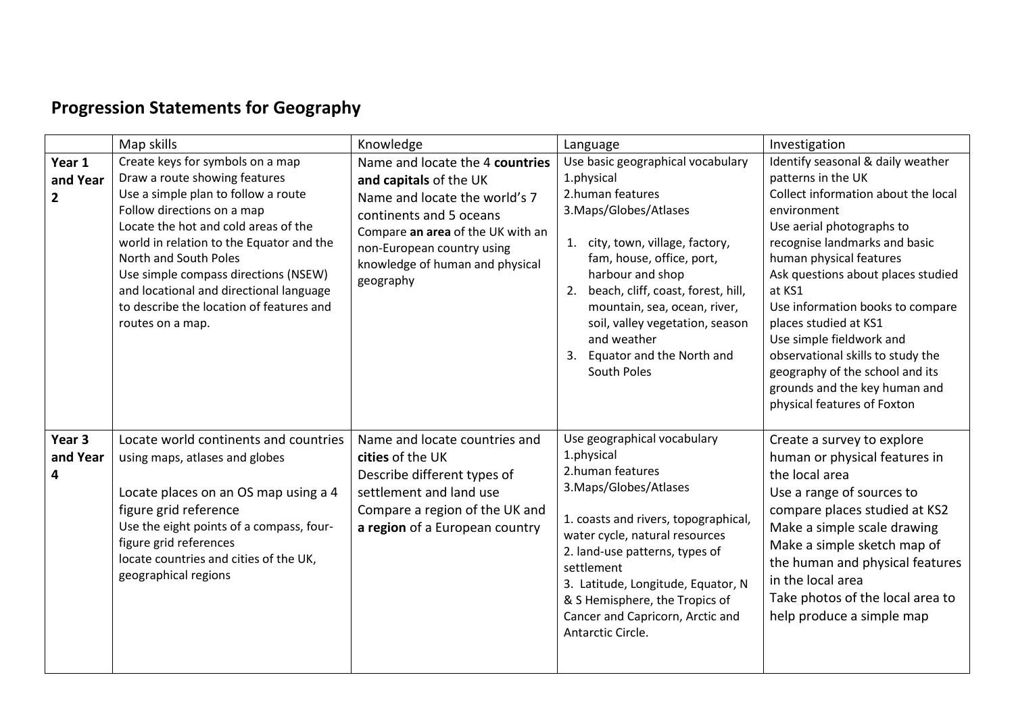## **Progression Statements for Geography**

|                                    | Map skills                                                                                                                                                                                                                                                                                                                                                                                             | Knowledge                                                                                                                                                                                                                                | Language                                                                                                                                                                                                                                                                                                                                                           | Investigation                                                                                                                                                                                                                                                                                                                                                                                                                                                                           |
|------------------------------------|--------------------------------------------------------------------------------------------------------------------------------------------------------------------------------------------------------------------------------------------------------------------------------------------------------------------------------------------------------------------------------------------------------|------------------------------------------------------------------------------------------------------------------------------------------------------------------------------------------------------------------------------------------|--------------------------------------------------------------------------------------------------------------------------------------------------------------------------------------------------------------------------------------------------------------------------------------------------------------------------------------------------------------------|-----------------------------------------------------------------------------------------------------------------------------------------------------------------------------------------------------------------------------------------------------------------------------------------------------------------------------------------------------------------------------------------------------------------------------------------------------------------------------------------|
| Year 1<br>and Year<br>$\mathbf{2}$ | Create keys for symbols on a map<br>Draw a route showing features<br>Use a simple plan to follow a route<br>Follow directions on a map<br>Locate the hot and cold areas of the<br>world in relation to the Equator and the<br>North and South Poles<br>Use simple compass directions (NSEW)<br>and locational and directional language<br>to describe the location of features and<br>routes on a map. | Name and locate the 4 countries<br>and capitals of the UK<br>Name and locate the world's 7<br>continents and 5 oceans<br>Compare an area of the UK with an<br>non-European country using<br>knowledge of human and physical<br>geography | Use basic geographical vocabulary<br>1.physical<br>2.human features<br>3. Maps/Globes/Atlases<br>1. city, town, village, factory,<br>fam, house, office, port,<br>harbour and shop<br>beach, cliff, coast, forest, hill,<br>2.<br>mountain, sea, ocean, river,<br>soil, valley vegetation, season<br>and weather<br>Equator and the North and<br>3.<br>South Poles | Identify seasonal & daily weather<br>patterns in the UK<br>Collect information about the local<br>environment<br>Use aerial photographs to<br>recognise landmarks and basic<br>human physical features<br>Ask questions about places studied<br>at KS1<br>Use information books to compare<br>places studied at KS1<br>Use simple fieldwork and<br>observational skills to study the<br>geography of the school and its<br>grounds and the key human and<br>physical features of Foxton |
| Year 3<br>and Year<br>4            | Locate world continents and countries<br>using maps, atlases and globes<br>Locate places on an OS map using a 4<br>figure grid reference<br>Use the eight points of a compass, four-<br>figure grid references<br>locate countries and cities of the UK,<br>geographical regions                                                                                                                       | Name and locate countries and<br>cities of the UK<br>Describe different types of<br>settlement and land use<br>Compare a region of the UK and<br>a region of a European country                                                          | Use geographical vocabulary<br>1.physical<br>2.human features<br>3. Maps/Globes/Atlases<br>1. coasts and rivers, topographical,<br>water cycle, natural resources<br>2. land-use patterns, types of<br>settlement<br>3. Latitude, Longitude, Equator, N<br>& S Hemisphere, the Tropics of<br>Cancer and Capricorn, Arctic and<br>Antarctic Circle.                 | Create a survey to explore<br>human or physical features in<br>the local area<br>Use a range of sources to<br>compare places studied at KS2<br>Make a simple scale drawing<br>Make a simple sketch map of<br>the human and physical features<br>in the local area<br>Take photos of the local area to<br>help produce a simple map                                                                                                                                                      |